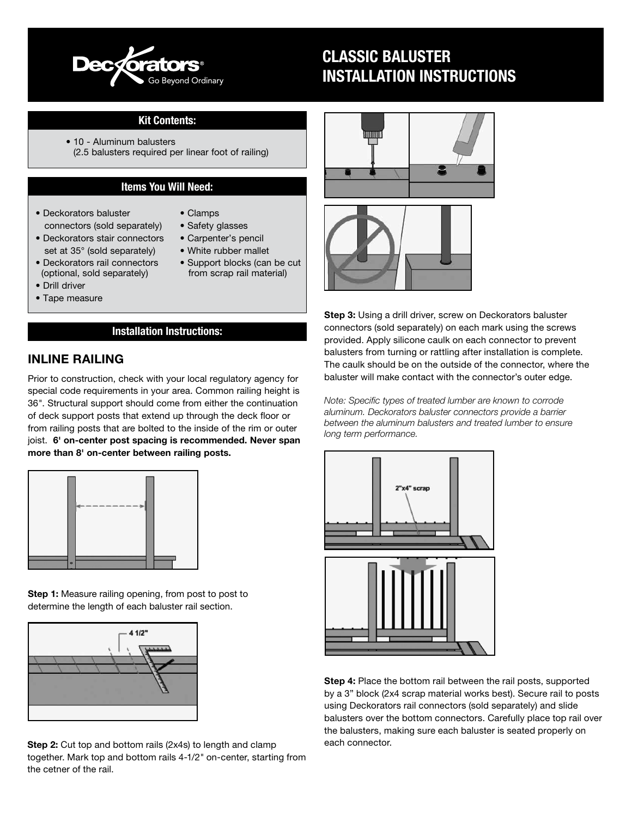

# CLASSIC BALUSTER INSTALLATION INSTRUCTIONS

#### Kit Contents:

• 10 - Aluminum balusters (2.5 balusters required per linear foot of railing)

#### Items You Will Need:

• Deckorators baluster connectors (sold separately)

• Deckorators stair connectors set at 35° (sold separately)

- Clamps
- Safety glasses
- Carpenter's pencil
- White rubber mallet
- Deckorators rail connectors (optional, sold separately)
- Drill driver
- Tape measure
- Support blocks (can be cut from scrap rail material)
- Installation Instructions:

### INLINE RAILING

Prior to construction, check with your local regulatory agency for special code requirements in your area. Common railing height is 36*"*. Structural support should come from either the continuation of deck support posts that extend up through the deck floor or from railing posts that are bolted to the inside of the rim or outer joist. 6' on-center post spacing is recommended. Never span more than 8' on-center between railing posts.



Step 1: Measure railing opening, from post to post to determine the length of each baluster rail section.



Step 2: Cut top and bottom rails (2x4s) to length and clamp together. Mark top and bottom rails 4-1/2*"* on-center, starting from the cetner of the rail.





**Step 3:** Using a drill driver, screw on Deckorators baluster connectors (sold separately) on each mark using the screws provided. Apply silicone caulk on each connector to prevent balusters from turning or rattling after installation is complete. The caulk should be on the outside of the connector, where the baluster will make contact with the connector's outer edge.

*Note: Specific types of treated lumber are known to corrode aluminum. Deckorators baluster connectors provide a barrier between the aluminum balusters and treated lumber to ensure long term performance.*



Step 4: Place the bottom rail between the rail posts, supported by a 3" block (2x4 scrap material works best). Secure rail to posts using Deckorators rail connectors (sold separately) and slide balusters over the bottom connectors. Carefully place top rail over the balusters, making sure each baluster is seated properly on each connector.